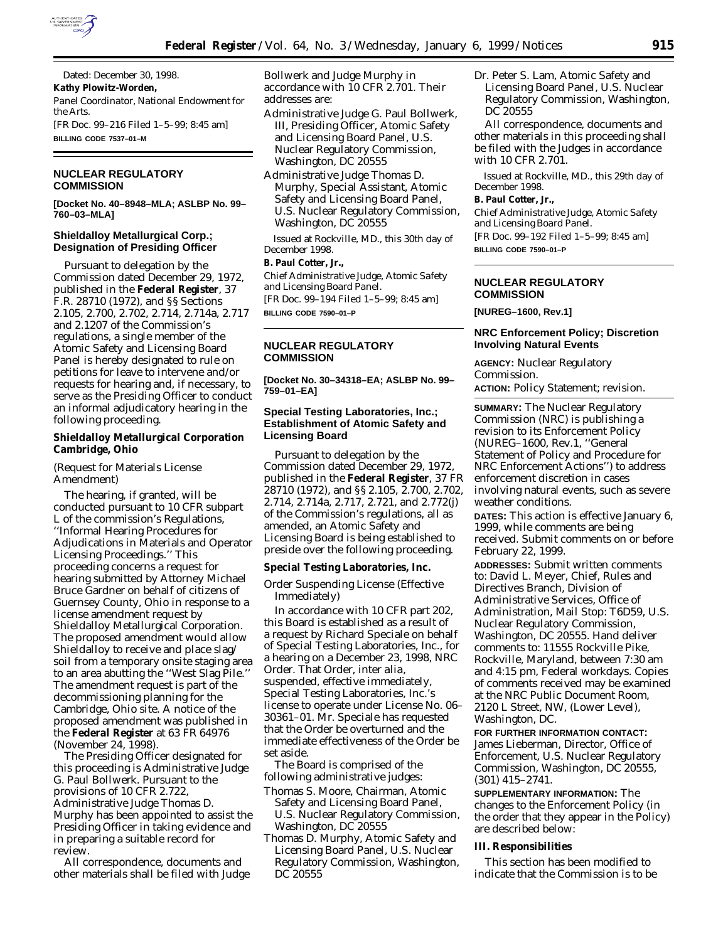

Dated: December 30, 1998. **Kathy Plowitz-Worden,** *Panel Coordinator, National Endowment for the Arts.* [FR Doc. 99–216 Filed 1–5–99; 8:45 am] **BILLING CODE 7537–01–M**

### **NUCLEAR REGULATORY COMMISSION**

**[Docket No. 40–8948–MLA; ASLBP No. 99– 760–03–MLA]**

## **Shieldalloy Metallurgical Corp.; Designation of Presiding Officer**

Pursuant to delegation by the Commission dated December 29, 1972, published in the **Federal Register**, 37 F.R. 28710 (1972), and §§ Sections 2.105, 2.700, 2.702, 2.714, 2.714a, 2.717 and 2.1207 of the Commission's regulations, a single member of the Atomic Safety and Licensing Board Panel is hereby designated to rule on petitions for leave to intervene and/or requests for hearing and, if necessary, to serve as the Presiding Officer to conduct an informal adjudicatory hearing in the following proceeding.

### **Shieldalloy Metallurgical Corporation Cambridge, Ohio**

(Request for Materials License Amendment)

The hearing, if granted, will be conducted pursuant to 10 CFR subpart L of the commission's Regulations, ''Informal Hearing Procedures for Adjudications in Materials and Operator Licensing Proceedings.'' This proceeding concerns a request for hearing submitted by Attorney Michael Bruce Gardner on behalf of citizens of Guernsey County, Ohio in response to a license amendment request by Shieldalloy Metallurgical Corporation. The proposed amendment would allow Shieldalloy to receive and place slag/ soil from a temporary onsite staging area to an area abutting the ''West Slag Pile.'' The amendment request is part of the decommissioning planning for the Cambridge, Ohio site. A notice of the proposed amendment was published in the **Federal Register** at 63 FR 64976 (November 24, 1998).

The Presiding Officer designated for this proceeding is Administrative Judge G. Paul Bollwerk. Pursuant to the provisions of 10 CFR 2.722, Administrative Judge Thomas D. Murphy has been appointed to assist the Presiding Officer in taking evidence and in preparing a suitable record for review.

All correspondence, documents and other materials shall be filed with Judge Bollwerk and Judge Murphy in accordance with 10 CFR 2.701. Their addresses are:

- Administrative Judge G. Paul Bollwerk, III, Presiding Officer, Atomic Safety and Licensing Board Panel, U.S. Nuclear Regulatory Commission, Washington, DC 20555
- Administrative Judge Thomas D. Murphy, Special Assistant, Atomic Safety and Licensing Board Panel, U.S. Nuclear Regulatory Commission, Washington, DC 20555

Issued at Rockville, MD., this 30th day of December 1998.

# **B. Paul Cotter, Jr.,**

*Chief Administrative Judge, Atomic Safety and Licensing Board Panel.* [FR Doc. 99–194 Filed 1–5–99; 8:45 am]

**BILLING CODE 7590–01–P**

# **NUCLEAR REGULATORY COMMISSION**

**[Docket No. 30–34318–EA; ASLBP No. 99– 759–01–EA]**

# **Special Testing Laboratories, Inc.; Establishment of Atomic Safety and Licensing Board**

Pursuant to delegation by the Commission dated December 29, 1972, published in the **Federal Register**, 37 FR 28710 (1972), and §§ 2.105, 2.700, 2.702, 2.714, 2.714a, 2.717, 2.721, and 2.772(j) of the Commission's regulations, all as amended, an Atomic Safety and Licensing Board is being established to preside over the following proceeding.

### **Special Testing Laboratories, Inc.**

Order Suspending License (Effective Immediately)

In accordance with 10 CFR part 202, this Board is established as a result of a request by Richard Speciale on behalf of Special Testing Laboratories, Inc., for a hearing on a December 23, 1998, NRC Order. That Order, *inter alia,* suspended, effective immediately, Special Testing Laboratories, Inc.'s license to operate under License No. 06– 30361–01. Mr. Speciale has requested that the Order be overturned and the immediate effectiveness of the Order be set aside.

The Board is comprised of the following administrative judges:

- Thomas S. Moore, Chairman, Atomic Safety and Licensing Board Panel, U.S. Nuclear Regulatory Commission, Washington, DC 20555
- Thomas D. Murphy, Atomic Safety and Licensing Board Panel, U.S. Nuclear Regulatory Commission, Washington, DC 20555

Dr. Peter S. Lam, Atomic Safety and Licensing Board Panel, U.S. Nuclear Regulatory Commission, Washington, DC 20555

All correspondence, documents and other materials in this proceeding shall be filed with the Judges in accordance with 10 CFR 2.701.

Issued at Rockville, MD., this 29th day of December 1998.

#### **B. Paul Cotter, Jr.,**

*Chief Administrative Judge, Atomic Safety and Licensing Board Panel.* [FR Doc. 99–192 Filed 1–5–99; 8:45 am] **BILLING CODE 7590–01–P**

# **NUCLEAR REGULATORY COMMISSION**

**[NUREG–1600, Rev.1]**

# **NRC Enforcement Policy; Discretion Involving Natural Events**

**AGENCY:** Nuclear Regulatory Commission. **ACTION:** Policy Statement; revision.

**SUMMARY:** The Nuclear Regulatory Commission (NRC) is publishing a revision to its Enforcement Policy (NUREG–1600, Rev.1, ''General Statement of Policy and Procedure for NRC Enforcement Actions'') to address enforcement discretion in cases involving natural events, such as severe weather conditions.

**DATES:** This action is effective January 6, 1999, while comments are being received. Submit comments on or before February 22, 1999.

**ADDRESSES:** Submit written comments to: David L. Meyer, Chief, Rules and Directives Branch, Division of Administrative Services, Office of Administration, Mail Stop: T6D59, U.S. Nuclear Regulatory Commission, Washington, DC 20555. Hand deliver comments to: 11555 Rockville Pike, Rockville, Maryland, between 7:30 am and 4:15 pm, Federal workdays. Copies of comments received may be examined at the NRC Public Document Room, 2120 L Street, NW, (Lower Level), Washington, DC.

**FOR FURTHER INFORMATION CONTACT:** James Lieberman, Director, Office of Enforcement, U.S. Nuclear Regulatory Commission, Washington, DC 20555, (301) 415–2741.

**SUPPLEMENTARY INFORMATION:** The changes to the Enforcement Policy (in the order that they appear in the Policy) are described below:

#### **III. Responsibilities**

This section has been modified to indicate that the Commission is to be